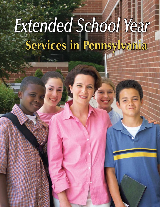# **Services in Pennsylvania** *Extended School Year*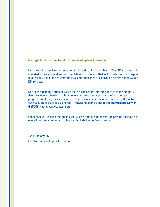#### **Message from the Director of the Bureau of Special Education**

I am pleased to provide consumers with this guide to Extended School Year (ESY) services. It is intended to be a comprehensive compilation of documents that will provide direction, respond to questions, and guide parents and local education agencies in making determinations about ESY services.

Decisions regarding a student's need for ESY services are intricately related to the progress that the student is making in his or her overall instructional program. Information about progress monitoring is available on the Pennsylvania Department of Education (PDE) website (www.education.state.pa.us) and the Pennsylvania Training and Technical Assistance Network (PaTTAN) website (www.pattan.net).

I hope that you will find this guide useful, as we continue in the effort to provide outstanding educational programs for all students with disabilities in Pennsylvania.

John J. Tommasini Director, Bureau of Special Education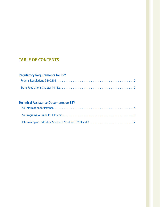# **table of contents**

## **Regulatory Requirements for ESY**

## **Technical Assistance Documents on ESY**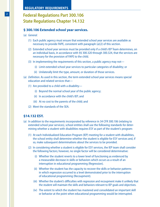#### **Regulatory Requirements**

# **Federal Regulations Part 300.106 State Regulations Chapter 14.132**

#### **§ 300.106 Extended school year services.**

- (a) *General.*
	- (1) Each public agency must ensure that extended school year services are available as necessary to provide FAPE, consistent with paragraph (a)(2) of this section.
	- (2) Extended school year services must be provided only if a child's IEP Team determines, on an individual basis, in accordance with §§ 300.320 through 300.324, that the services are necessary for the provision of FAPE to the child.
	- (3) In implementing the requirements of this section, a public agency may not—
		- (i) Limit extended school year services to particular categories of disability; or
		- (ii) Unilaterally limit the type, amount, or duration of those services.
- (a) *Definition.* As used in this section, the term extended school year services means special education and related services that—
	- (1) Are provided to a child with a disability—
		- (i) Beyond the normal school year of the public agency;
		- (ii) In accordance with the child's IEP; and
		- (iii) At no cost to the parents of the child; and
	- (2) Meet the standards of the SEA.

#### **§14.132 ESY.**

- (a) In addition to the requirements incorporated by reference in 34 CFR 300.106 (relating to extended school year services), school entities shall use the following standards for determining whether a student with disabilities requires ESY as part of the student's program:
	- (1) At each Individualized Education Program (IEP) meeting for a student with disabilities, the school entity shall determine whether the student is eligible for ESY services and, if so, make subsequent determinations about the services to be provided.
	- (2) In considering whether a student is eligible for ESY services, the IEP team shall consider the following factors; however, no single factor will be considered determinative:
		- (i) Whether the student reverts to a lower level of functioning as evidenced by a measurable decrease in skills or behaviors which occurs as a result of an interruption in educational programming (Regression).
		- (ii) Whether the student has the capacity to recover the skills or behavior patterns in which regression occurred to a level demonstrated prior to the interruption of educational programming (Recoupment).
		- (iii) Whether the student's difficulties with regression and recoupment make it unlikely that the student will maintain the skills and behaviors relevant to IEP goals and objectives.
		- (iv) The extent to which the student has mastered and consolidated an important skill or behavior at the point when educational programming would be interrupted.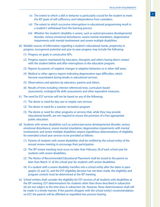- **<sup>3</sup>** (v) The extent to which a skill or behavior is particularly crucial for the student to meet the IEP goals of self-sufficiency and independence from caretakers.
- (vi) The extent to which successive interruptions in educational programming result in a student's withdrawal from the learning process.
- (vii) Whether the student's disability is severe, such as autism/pervasive developmental disorder, serious emotional disturbance, severe mental retardation, degenerative impairments with mental involvement and severe multiple disabilities.
- (b) Reliable sources of information regarding a student's educational needs, propensity to progress, recoupment potential and year-to-year progress may include the following:
	- (1) Progress on goals in consecutive IEPs.
	- (2) Progress reports maintained by educators, therapists and others having direct contact with the student before and after interruptions in the education program.
	- (3) Reports by parents of negative changes in adaptive behaviors or in other skill areas.
	- (4) Medical or other agency reports indicating degenerative-type difficulties, which become exacerbated during breaks in educational services.
	- (5) Observations and opinions by educators, parents and others.
	- (6) Results of tests including criterion-referenced tests, curriculum-based assessments, ecological life skills assessments and other equivalent measures.
- (c) The need for ESY services will not be based on any of the following:
	- (1) The desire or need for day care or respite care services.
	- (2) The desire or need for a summer recreation program.
	- (3) The desire or need for other programs or services that, while they may provide educational benefit, are not required to ensure the provision of a free appropriate public education.
- (d) Students with severe disabilities such as autism/pervasive developmental disorder, serious emotional disturbance; severe mental retardation; degenerative impairments with mental involvement; and severe multiple disabilities require expeditious determinations of eligibility for extended school year services to be provided as follows:
	- (1) Parents of students with severe disabilities shall be notified by the school entity of the annual review meeting to encourage their participation.
	- (2) The IEP review meeting must occur no later than February 28 of each school year for students with severe disabilities.
	- (3) The Notice of Recommended Educational Placement shall be issued to the parent no later than March 31 of the school year for students with severe disabilities.
	- (4) If a student with a severe disability transfers into a school entity after the dates in paragraphs (2) and (3), and the ESY eligibility decision has not been made, the eligibility and program content must be determined at the IEP meeting.
- (e) School entities shall consider the eligibility for ESY services of all students with disabilities at the IEP meeting. ESY determinations for students other than those described in subsection (d) are not subject to the time lines in subsection (d). However, these determinations shall still be made in a timely manner. If the parents disagree with the school entity's recommendation on ESY, the parents will be afforded an expedited due process hearing.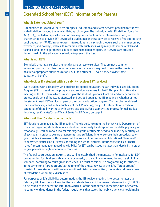## **Extended School Year (ESY) Information for Parents**

#### **What is Extended School Year?**

Extended School Year (ESY) services are special education and related services provided to students with disabilities beyond the regular 180-day school year. The Individuals with Disabilities Education Act (IDEA), the federal special education law, requires school districts, intermediate units, and charter schools to provide ESY services if a student needs these services to receive a free appropriate public education (FAPE). In some cases, interruptions in the school schedule, such as summer break, weekends, and holidays, will result in children with disabilities losing many of their basic skills and taking a long time to get those skills back once school begins again. ESY services are provided during breaks in the educational schedule to prevent this loss.

#### **What is not ESY?**

Extended School Year services are not day care or respite services. They are not a summer recreation program or other programs or services that are not required to ensure the provision of a free, appropriate public education (FAPE) to a student — even if they provide some educational benefit.

#### **Who decides if a student with a disability receives ESY services?**

Every student with a disability, who qualifies for special education, has an Individualized Education Program (IEP). It describes the programs and services necessary for FAPE. This plan is written at a meeting of the IEP team, which is made up of the student's parents, teachers, and other educational professionals. One of the issues discussed and decided upon at the IEP meeting is whether or not the student needs ESY services as part of the special education program. ESY must be considered each year for every child with a disability at the IEP meeting, not just for students with certain categories of disability or those with severe disabilities. For a step-by-step process for making ESY decisions, see *Extended School Year: A Guide for IEP Teams,* on page 8.

#### **When will the ESY decision be made?**

ESY decisions are made at the IEP meeting. There is guidance from the Pennsylvania Department of Education regarding students who are identified as severely handicapped — mentally, physically or emotionally. Decisions about ESY for this target group of students need to be made by February 28 of each year, in order to be sure that parents have sufficient time to exercise their procedural safeguards rights, if necessary. This means that the Notice of Recommended Educational Placement/ Prior Written Notice (NOREP/PWN) concerning the school district's, intermediate unit's, or charter school's recommendation regarding eligibility for ESY can be issued no later than March 31, in order to give parents enough time to raise concerns.

The federal court decision in Armstrong v. Kline established the mandate in Pennsylvania for ESY programming for children with any type or severity of disability who meet the court's eligibility standard. According to court guidelines, each LEA must consider ESY programming for students in the Armstrong "target groups" at the time of the annual review of the IEPs. "Target groups" consist of those students with severe emotional disturbances, autism, moderate and severe levels of retardation, or multiple disabilities.

For purposes of ESY eligibility determination, the IEP review meeting is to occur no later than February 28 of each school year for these students. Notice of the team's determination (NOREP) is to be issued to the parent no later than March 31 of the school year. These timelines offer a way to comply with guidance in the federal regulations that states that public agencies should make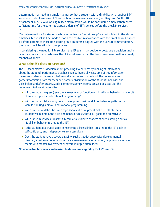determination of need in a timely manner so that a student with a disability who requires ESY services in order to receive FAPE can obtain the necessary services (Fed. Reg., Vol. 64, No. 48, Attachment 1, p. 12576). An eligibility determination would be considered timely if there were sufficient time for the parent to appeal a denial of ESY services before the break in services occurs.

ESY determinations for students who are not from a "target group" are not subject to the above timelines, but must still be made as soon as possible in accordance with the timelines in Chapter 14. If the parents of those non-target group students disagree with the LEA's recommendation, the parents will be afforded due process.

In considering the need for ESY services, the IEP team may decide to postpone a decision until a later date. In such circumstances, the LEA must ensure that the team reconvenes within a timely manner, as above.

#### **What is the ESY decision based on?**

The IEP team makes its decision about providing ESY services by looking at information about the student's performance that has been gathered all year. Some of this information measures student achievement before and after breaks from school. The team can also gather information from teachers' and parents' observations of the student's behavior and skills before and after breaks. Medical or other agency reports can also be accessed. The team needs to look at factors like:

- Will the student regress (revert to a lower level of functioning) in skills or behaviors as a result of an interruption in educational programming?
- Will the student take a long time to recoup (recover) the skills or behavior patterns that were lost during a break in educational programming?
- Will a pattern of difficulties with regression and recoupment make it unlikely that a student will maintain the skills and behaviors relevant to IEP goals and objectives?
- Will a lapse in services substantially reduce a student's chances of ever learning a critical life skill or behavior related to the IEP?
- Is the student at a crucial stage in mastering a life skill that is related to the IEP goals of self-sufficiency and independence from caregivers?
- Does the student have a severe disability such as autism/pervasive developmental disorder, a serious emotional disturbance, severe mental retardation, degenerative impairments with mental involvement or severe multiple disabilities?

#### **No one factor, however, can be used to determine eligibility for ESY services.**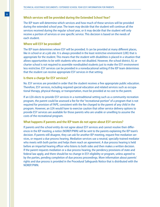#### **Which services will be provided during the Extended School Year?**

The IEP team will determine which services and how much of these services will be provided during the extended school year. The team may decide that the student will continue all the services received during the regular school year, or it may decide that the student will only receive a portion of services or one specific service. This decision is based on the needs of each student.

#### **Where will ESY be provided?**

The IEP team determines where ESY will be provided. It can be provided at many different places, like in school or at a job site. It is always provided in the least restrictive environment (LRE) that is appropriate for the student. This means that the student with disabilities is placed in a situation that allows opportunities to be with students who are not disabled. However, the school district, IU, or charter school is not required to assemble nondisabled students just to make the ESY environment less restrictive. ESY services can be provided in a noneducational setting if the IEP team determines that the student can receive appropriate ESY services in that setting.

#### **Is there a charge for ESY services?**

No. ESY services are provided in order that the student receives a free appropriate public education. Therefore, ESY services, including required special education and related services such as occupational therapy, physical therapy, or transportation, must be provided at no cost to the parent.

If an LEA elects to provide ESY services in a nontraditional setting such as a community recreation program, the parent could be assessed a fee for the "recreational portion" of a program that is not required for provision of FAPE, consistent with the fee charged to the parent of any child in the program. However, an LEA would have to exercise caution that other service delivery options to provide ESY services are available for those parents who are unable or unwilling to assume the costs of the recreational program.

#### **What happens if parents and the IEP team do not agree about ESY services?**

If parents and the school entity do not agree about ESY services and cannot resolve their differences in the IEP meeting, a notice (NOREP/PWN) will be sent to the parents explaining the IEP team's decision. If parents still disagree, they can ask for another IEP meeting, request free mediation services, or request a due process hearing. Mediation services use a neutral, specially-trained mediator who meets with both parties and helps them reach an agreement. A due process hearing is held before an impartial hearing officer who listens to both sides and then makes a written decision. If the parent requests mediation or a due process hearing, the pendency provisions of state and federal law apply, and there should be no change in ESY eligibility or program, unless agreed to by the parties, pending completion of due process proceedings. More information about parents' rights and due process is provided in the Procedural Safeguards Notice that is distributed with the NOREP/PWN.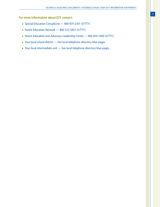#### **For more information about ESY contact:**

- Special Education ConsultLine 800-879-2301 (V/TTY)
- Parent Education Network 800-522-5827 (V/TTY)
- Parent Education and Advocacy Leadership Center 866-950-1040 (V/TTY)
- Your local school district See local telephone directory blue pages
- Your local intermediate unit See local telephone directory blue pages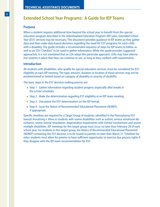## **Extended School Year Programs: A Guide for IEP Teams**

#### **Purpose**

When a student requires additional time beyond the school year to benefit from the special education program described in the Individualized Education Program (IEP) plan, Extended School Year (ESY) services may be necessary. This document provides guidance to IEP teams as they gather data and then make data-based decisions regarding the need for ESY programs for each child with a disability. The guide includes a recommended sequence of steps for IEP teams to follow, as well as an "ESY Checklist" to be used to gather information. While this guide provides suggested approaches, it is not mandated that an LEA adopt this particular approach. LEAs may have alternative systems in place that they can continue to use, as long as they conform with requirements.

#### **Introduction**

All students with disabilities, who qualify for special education services, must be considered for ESY eligibility at each IEP meeting. The type, amount, duration or location of those services may not be predetermined or limited based on category of disability or severity of disability.

The basic steps in the ESY decision-making process are:

- Step 1: Gather information regarding student progress (especially after breaks in the school schedule).
- Step 2: Make the determination regarding ESY eligibility at an IEP team meeting.
- Step 3: Document the ESY determination on the IEP format.
- Step 4: Issue the Notice of Recommended Educational Placement (NOREP), if appropriate.

Specific timelines are required for a Target Group of students, identified in the Pennsylvania ESY lawsuit Armstrong v. Kline as students with severe disabilities such as autism, serious emotional disturbance, severe mental retardation, degenerative impairments with mental involvement and severe multiple disabilities. IEP meetings for this target group must occur no later than February 28 of each school year. For students in this target group, the Notice of Recommended Educational Placement (NOREP) containing the ESY decision is to be issued to parents no later than March 31. Timelines for other students must allow for parents to have sufficient opportunity to exercise due process rights if they disagree with the IEP team recommendation for ESY.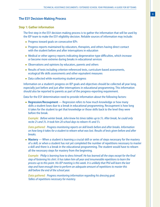#### **The ESY Decision-Making Process**

#### **Step 1: Gather information**

The first step in the ESY decision-making process is to gather the information that will be used by the IEP team to make the ESY eligibility decision. Reliable sources of information may include:

- Progress toward goals on consecutive IEPs
- Progress reports maintained by educators, therapists, and others having direct contact with the student before and after interruptions in education
- Medical or other agency reports indicating degenerative-type difficulties, which increase or become more extreme during breaks in educational services
- Observations and opinions by educators, parents and others
- Results of tests including criterion-referenced tests, curriculum-based assessments, ecological life skills assessments and other equivalent measures
- Data collected while monitoring student progress

Information on a student's progress on IEP goals and objectives should be collected all year long, especially just before and just after interruptions in educational programming. This information should also be reported to parents as part of the progress-reporting requirement.

Data for the ESY determination need to provide information about the following factors:

• **Regression/Recoupment** — Regression refers to how much knowledge or how many skills a student loses due to a break in educational programming. Recoupment is how long it takes for the student to get that knowledge or those skills back to the level they were before the break.

*Example: Before winter break, John knew his times tables up to 5's. After break, he could only recite 2's and 3's. It took him 20 school days to relearn 4's and 5's.*

*Data gathered: Progress monitoring reports on skill levels before and after breaks. Information on how long it takes for a student to relearn what was lost. Results of tests given before and after breaks.*

• **Mastery** — When a student is learning a crucial skill or series of steps necessary for the mastery of a skill, or when a student has not yet completed the number of repetitions necessary to master a skill and there is a break in the educational programming. The student would have to relearn all the necessary steps for mastery from the beginning.

*Example: Philip is learning how to dress himself. He has learned all the steps except for the final step of fastening his shirt. It has taken him all year and innumerable repetitions to learn the process up to this point. His IEP meeting is this week. It is unlikely that Phil will learn the last step and have enough time to perform an adequate amount of repetitions to master this skill before the end of the school year.* 

*Data gathered: Progress monitoring information regarding his dressing goal. Tallies of repetitions necessary for mastery.*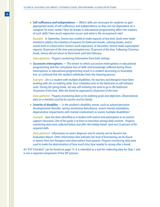• Self-sufficiency and independence - Which skills are necessary for students to gain appropriate levels of self-sufficiency and independence so they are not dependent on a caregiver for basic needs? How do breaks in educational programming affect the mastery of such skills? How much regression occurs and what is the recoupment rate?

*Example: In September, Serena was unable to make requests of any kind. Goals were implemented to address the initiation of requests for bathroom breaks, calming breaks, and/or snacks both in school and in Serena's work experience. In December, Serena made unprompted requests 30 percent of the time and prompted ones 70 percent of the time. Following Christmas break, Serena did not return to these levels until late February.*

*Data gathered: Progress monitoring information from both settings.* 

• **Successive interruptions —** The extent to which successive interruptions in educational programming and the cumulative loss of skills and knowledge suffered during those interruptions in educational programming result in a student becoming so frustrated, lost, or confused that the student withdraws from the learning process

*Example: Jim is a student with multiple disabilities. His teachers and therapists have been working with Jim on toileting skills, from scheduled visits to the bathroom to self-initiated visits. During the spring break, Jim was self-initiating the need to go to the bathroom 50 percent of the time. After the break he regressed to 20 percent of the time.* 

*Data gathered: Progress monitoring data on his toileting goals and objectives. Observational data on a checklist used by his teacher and his family.*

• **Severity of disability** — Is the student's disability severe, such as autism/pervasive developmental disorder, serious emotional disturbance, severe mental retardation, degenerative impairments with mental involvement or severe multiple disabilities?

*Example: Jane has been identified as a student with autism and participates in an autistic support classroom. One of her goals is to learn to transition among daily routines. Progress monitoring data were collected before and after the holiday break. Jane lost 25 percent of her acquired skills.* 

*Data gathered: Information on Jane's diagnosis and its severity can be found in her Evaluation Report. Other information that indicates her level of functioning can be found in reports from her therapists and observations from parents. Progress monitoring data were used to make the determination of how much time Jane needed to recoup after a break.*

An "ESY Checklist" can be found on page 15. It is intended as a tool for collecting data for Step 1 and is not a required component of the IEP process.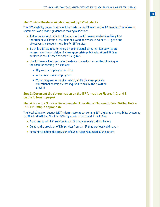#### **Step 2: Make the determination regarding ESY eligibility**

The ESY eligibility determination will be made by the IEP team at the IEP meeting. The following statements can provide guidance in making a decision:

- If after reviewing the factors listed above the IEP team considers it unlikely that the student will attain or maintain skills and behaviors relevant to IEP goals and objectives, the student is eligible for ESY services.
- If a child's IEP team determines, on an individual basis, that ESY services are necessary for the provision of a free appropriate public education (FAPE) as outlined in the IEP, then the child is eligible.
- The IEP team will **not** consider the desire or need for any of the following as the basis for needing ESY services:
	- Day care or respite care services
	- A summer recreation program
	- Other programs or services which, while they may provide educational benefit, are not required to ensure the provision of FAPE

**Step 3: Document the determination on the IEP format (see Figures 1, 2, and 3 on the following pages)**

#### **Step 4: Issue the Notice of Recommended Educational Placement/Prior Written Notice (NOREP/PWN), if appropriate**

The local education agency (LEA) informs parents concerning ESY eligibility or ineligibility by issuing the NOREP/PWN. The NOREP/PWN only needs to be issued if the LEA is:

- Proposing to add ESY services to an IEP that previously did not have it
- Deleting the provision of ESY services from an IEP that previously did have it
- Refusing to initiate the provision of ESY services requested by the parent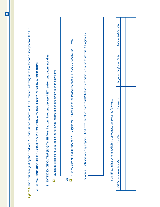|                                                |                                                                            |                                                                                                                                  | VI. SPECIAL EDUCATION/RELATED SERVICES/SUPPLEMENTARY AIDS AND SERVICES/PROGRAM MODIFICATIONS: |                             |
|------------------------------------------------|----------------------------------------------------------------------------|----------------------------------------------------------------------------------------------------------------------------------|-----------------------------------------------------------------------------------------------|-----------------------------|
| EXTENDED SCHOOL YEAR (ESY): The IEP Team<br>μj |                                                                            | has considered and discussed ESY services, and determined that:                                                                  |                                                                                               |                             |
|                                                |                                                                            | Student IS eligible for ESY based on the following information or data reviewed by the IEP team:                                 |                                                                                               |                             |
| 6R                                             |                                                                            | As of the date of this IEP, student is NOT eligible for ESY based on the following information or data reviewed by the IEP team: |                                                                                               |                             |
| The Annual Goals and, when appropriate, Shor   |                                                                            | t-term Objectives from this IEP that are to be addressed in the student's ESY Program are:                                       |                                                                                               |                             |
|                                                |                                                                            |                                                                                                                                  |                                                                                               |                             |
|                                                | If the IEP team has determined ESY is appropriate, complete the following. |                                                                                                                                  |                                                                                               |                             |
| ESY Service to be Provided                     | Location                                                                   | Frequency                                                                                                                        | <b>Projected Beginning Date</b>                                                               | <b>Anticipated Duration</b> |
|                                                |                                                                            |                                                                                                                                  |                                                                                               |                             |
|                                                |                                                                            |                                                                                                                                  |                                                                                               |                             |

**12**

Г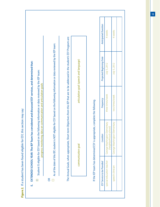Figure 2. If a student has been found eligible for ESY, this section may say: *Figure 2.* If a student has been found eligible for ESY, this section may say:

Г

| E. EXTENDED SCHOOL YEAR: The IEP Team has considered and discussed ESY services, and determined that:<br>Student IS eligible for ESY based on the following information or data reviewed by the IEP team:<br>progress monitoring data on communication and articulation goals<br>$\boxtimes$ | As of the date of this IEP, student is NOT eligible for ESY based on the following information or data reviewed by the IEP team:<br>E | The Annual Goals, when appropriate, Short-term Objectives from this IEP that are to be addressed in the student's ESY Program are: | articulation goal (speech and language)<br>communication goal | If the IEP team has determined ESY is appropriate, complete the following. |
|----------------------------------------------------------------------------------------------------------------------------------------------------------------------------------------------------------------------------------------------------------------------------------------------|---------------------------------------------------------------------------------------------------------------------------------------|------------------------------------------------------------------------------------------------------------------------------------|---------------------------------------------------------------|----------------------------------------------------------------------------|
|                                                                                                                                                                                                                                                                                              |                                                                                                                                       |                                                                                                                                    |                                                               |                                                                            |

| ESY Service to be Provided | Location                                                       | Frequency        | <b>Projected Beginning Date</b> | <b>Anticipated Duration</b> |
|----------------------------|----------------------------------------------------------------|------------------|---------------------------------|-----------------------------|
| special education teacher  | lementary<br>chool)<br>George Washington Ei<br>neighborhood sc | three times/week | July 5, 2012                    | 4 weeks                     |
| speech clinician           | lementary<br>George Washington El                              | two times/week   | July 5, 2012                    | 4 weeks                     |
|                            |                                                                |                  |                                 |                             |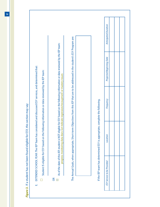Figure 3. If a student has not been found eligible for ESY, this section may say: *Figure 3.* If a student has not been found eligible for ESY, this section may say:

- EXTENDED SCHOOL YEAR: The IEP Team has considered and discussed ESY services, and determined that: E. EXTENDED SCHOOL YEAR: The IEP Team has considered and discussed ESY services, and determined that: ШÌ
- Student IS eligible for ESY based on the following information or data reviewed by the IEP team: Student IS eligible for ESY based on the following information or data reviewed by the IEP team:  $\Box$
- OR

 $\times$ 

As of the date of this IEP, student is NOT eligible for ESY based on the following information or data reviewed by the IEP team:<br>progress monitoring data does not indicate regression/recoupment or mastery issues As of the date of this IEP, student is NOT eligible for ESY based on the following information or data reviewed by the IEP team: progress monitoring data does not indicate regression/recoupment or mastery issues

The Annual Goals, when appropriate, Short-term Objectives from this IEP that are to be addressed in the student's ESY Program are: The Annual Goals, when appropriate, Short-term Objectives from this IEP that are to be addressed in the student's ESY Program are:

If the IEP team has determined ESY is appropriate, complete the following. If the IEP team has determined ESY is appropriate, complete the following.

| Location |
|----------|
|          |
|          |
|          |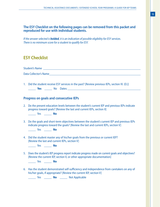#### **The ESY Checklist on the following pages can be removed from this packet and reproduced for use with individual students.**

*If the answer selected is bolded, it is an indication of possible eligibility for ESY services. There is no minimum score for a student to qualify for ESY.*

## **ESY Checklist**

Student's Name **and the student of the student** of the student of the student of the student of the student of the student of the student of the student of the student of the student of the student of the student of the st Data Collector's Name

1. Did the student receive ESY services in the past? [Review previous IEPs, section IV. (D.)] **Yes** No Dates: **Wese** No Dates:  $\Box$ 

#### **Progress on goals and consecutive IEPs**

2. Do the present education levels between the student's current IEP and previous IEPs indicate progress toward goals? [Review the last and current IEPs, section II]

\_\_\_\_\_ Yes \_\_\_\_\_ **No**

3. Do the goals and short-term objectives between the student's current IEP and previous IEPs indicate progress toward the goals? [Review the last and current IEPs, section V]

\_\_\_\_\_ Yes \_\_\_\_\_ **No**

4. Did the student master any of his/her goals from the previous or current IEP? [Review the last and current IEPs, section V]

\_\_\_\_\_ Yes \_\_\_\_\_ **No**

5. Does the student's IEP progress report indicate progress made on current goals and objectives? [Review the current IEP, section V, or other appropriate documentation]

\_\_\_\_\_ Yes \_\_\_\_\_ **No**

6. Has the student demonstrated self-sufficiency and independence from caretakers on any of his/her goals, if appropriate? [Review the current IEP, section V]

\_\_\_\_\_ Yes \_\_\_\_\_ **No** \_\_\_\_\_ Not Applicable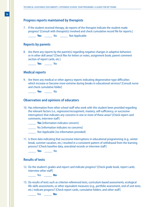#### **Progress reports maintained by therapists**

7. If the student received therapy, do reports of the therapist indicate the student made progress? [Consult with therapist(s) involved and check cumulative record file for reports.]

\_\_\_\_\_ **Yes** \_\_\_\_\_ No \_\_\_\_\_ Not Applicable

#### **Reports by parents**

8. Are there any reports by the parent(s) regarding negative changes in adaptive behaviors or in other skill areas? [Check files for letters or notes, assignment book, parent comment section of report cards, etc.]

\_\_\_\_\_ **Yes** \_\_\_\_\_ No

#### **Medical reports**

9. Are there any medical or other agency reports indicating degenerative-type difficulties which increase or become more extreme during breaks in educational services? [Consult nurse and check cumulative folder]

\_\_\_\_\_ **Yes** \_\_\_\_\_ No

#### **Observation and opinions of educators**

- 10. Has information from other school staff who work with this student been provided regarding the relevant factors (i.e., regression/recoupment, mastery, self-sufficiency, or successive interruption) that indicates any concerns in one or more of these areas? [Check report card comments, interview staff]
	- \_\_\_\_\_ **Yes** [information indicates concern]
	- \_\_\_\_\_ No [information indicates no concerns]
	- **Not Applicable [no information provided]**
- 11. Is there data indicating that successive interruptions in educational programming (e.g., winter break, summer vacation, etc.) resulted in a consistent pattern of withdrawal from the learning process? [Check baseline data, anecdotal records or interview staff]

\_\_\_\_\_ **Yes** \_\_\_\_\_ No

#### **Results of tests**

12. Do the student's grades and report card indicate progress? [Check grade book, report cards, interview other staff]

\_\_\_\_\_ Yes \_\_\_\_\_ **No**

13. Do results of tests such as criterion-referenced tests, curriculum-based assessments, ecological life-skills assessments, or other equivalent measures (e.g., portfolio assessment, end of unit tests, etc.) indicate progress? [Check report cards, cumulative folders, and other staff]

\_\_\_\_\_ Yes \_\_\_\_\_ **No**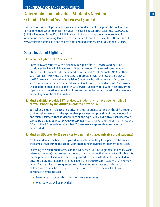#### **Technical Assistance Documents**

# **Determining an Individual Student's Need for Extended School Year Services: Q and A**

This Q and A was developed as a technical assistance document to support the implementation of Extended School Year (ESY) services. The Basic Education Circular (BEC) 22 Pa. Code §14.132 "Extended School Year Eligibility" should be viewed as the primary source of information for determining ESY services. For the most recent BEC, visit the PDE website at www.education.state.pa.us and select Codes and Regulations, Basic Education Circulars.

#### **Determination of Eligibility**

#### **1. Who is eligible for ESY services?**

Potentially, any student with a disability is eligible for ESY services and must be considered for ESY eligibility at each IEP team meeting. This annual consideration also applies to students who are attending Approved Private Schools (APS) or other such facilities. APSs must share necessary information with the responsible LEA so the IEP team can make a timely decision. Students who will regress and fail to recoup such that free appropriate public education (FAPE) will be denied unless ESY is provided will be determined to be eligible for ESY services. Eligibility for ESY services and/or the type, amount, duration or location of services cannot be limited based on the category or the degree of the child's disability.

#### **2. Must a district provide ESY services to students who have been enrolled in private schools by the district in order to provide FAPE?**

Yes. When a student is placed in a private school or agency setting by the LEA through a contractual agreement as the appropriate placement for provision of special education and related services, that student retains all the rights of a child with a disability who is served by a public agency [34 CFR §300.146(c) *Responsibility of State Educational Agency (SEA)*]. If the IEP team determines that ESY services are appropriate, services must be provided.

#### **3. Must an LEA provide ESY services to parentally placed private school students?**

No. For students who have been placed in private schools by their parents, the policy is the same as that during the school year. There is no individual entitlement to services.

Following the established formula in the IDEA, each IDEA-B subgrantee (in Pennsylvania intermediate units) must expend a proportional amount of their federal Part B subgrants for the provision of services to parentally placed students with disabilities enrolled in private schools. The implementing regulations at 34 CFR §300.137(b)(1) *Equitable Services determined* require that subgrantees consult with representatives of private school children with disabilities to discuss the provision of services. The results of this consultation must include:

- Determination of which students will receive services
- What services will be provided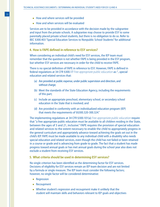- How and where services will be provided
- How and when services will be evaluated

Services are to be provided in accordance with the decision made by the subgrantee and input from the private schools. A subgrantee may choose to provide ESY to some parentally placed private school students, but there is no obligation to do so. Refer to BEC §300.403 "Special Education Services to Nonpublic School Students" for additional information.

#### **4. How is FAPE defined in reference to ESY services?**

When considering an individual child's need for ESY services, the IEP team must remember that the question is not whether FAPE is being provided in the ESY program, but whether ESY services are necessary in order for the child to receive FAPE.

There is no special definition of FAPE in reference to ESY. However, FAPE is defined in federal regulations at 34 CFR §300.17 *Free appropriate public education* as: "...special education and related services that:

- (a) Are provided at public expense, under public supervision and direction, and without charge;
- (b) Meet the standards of the State Education Agency, including the requirements of this part;
- (c) Include an appropriate preschool, elementary school, or secondary school education in the State that is involved; and
- (d) Are provided in conformity with an individualized education program (IEP) that meets the requirements of §§300.320-300.324."

The implementing regulations at 34 CFR §300.101(a) *Free appropriate public education* require that "a free appropriate public education must be available to all children residing in the State, between the ages of 3 and 21, inclusive." FAPE requires the provision of special education and related services to the extent necessary to enable the child to appropriately progress in the general curriculum and appropriately advance toward achieving the goals set out in the child's IEP. FAPE must be made available to any individual child with a disability who needs special education and related services, even though the child has not failed or been retained in a course or grade and is advancing from grade to grade. The fact that a student has made progress toward annual goals or has met annual goals during the school year also does not exclude a student from receiving ESY services.

#### **5. What criteria should be used in determining ESY services?**

No single criterion has been identified as the determining factor for ESY services. Decisions of eligibility for ESY services remain an IEP team decision and are not limited by a formula or single measure. The IEP team must consider the following factors; however, no single factor will be considered determinative:

- Regression
- Recoupment
- Whether student's regression and recoupment make it unlikely that the student will maintain skills and behaviors relevant to IEP goals and objectives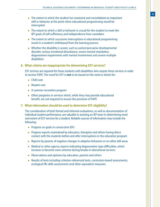- The extent to which the student has mastered and consolidated an important skill or behavior at the point when educational programming would be interrupted
- The extent to which a skill or behavior is crucial for the student to meet the IEP goals of self-sufficiency and independence from caretakers
- The extent to which successive interruptions in educational programming result in a student's withdrawal from the learning process
- Whether the disability is severe, such as autism/pervasive developmental disorder, serious emotional disturbance, severe mental retardation, degenerative impairments with mental involvement and severe multiple disabilities

#### **6. What criteria are inappropriate for determining ESY services?**

ESY services are required for those students with disabilities who require these services in order to receive FAPE. The need for ESY is **not** to be based on the need or desire for:

- Child care
- Respite care
- A summer recreation program
- Other programs or services which, while they may provide educational benefit, are not required to ensure the provision of FAPE

#### **7. What information should be used to determine ESY eligibility?**

The consideration of both formal and informal evaluations, as well as documentation of individual student performance, are valuable in assisting an IEP team in determining need and extent of ESY services for a student. Reliable sources of information may include the following:

- Progress on goals in consecutive IEPs
- Progress reports maintained by educators, therapists and others having direct contact with the students before and after interruptions in the education program
- Reports by parents of negative changes in adaptive behaviors or on other skill areas
- Medical or other agency reports indicating degenerative-type difficulties, which increase or become more extreme during breaks in educational services
- Observations and opinions by educators, parents and others
- Results of tests including criterion-referenced tests, curriculum-based assessments, ecological life skills assessments and other equivalent measures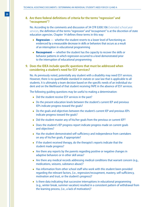#### **8. Are there federal definitions of criteria for the terms "regression" and "recoupment"?**

No. According to the comments and discussion of 34 CFR §300.106 *Extended school year services*, the definition of the terms "regression" and "recoupment" is at the discretion of state education agencies. Chapter 14 defines these terms in this way:

- **Regression** whether the student reverts to a lower level of functioning as evidenced by a measurable decrease in skills or behaviors that occurs as a result of an interruption in educational programming
- **Recoupment** whether the student has the capacity to recover the skills or behavior patterns in which regression occurred to a level demonstrated prior to the interruption of educational programming

#### **9. Does the IDEA include specific questions that must be addressed when considering a student's need for ESY services?**

No. As previously noted, potentially any student with a disability may need ESY services. However, there is no quantifiable standard in statute or case law that is applicable to all students. It is ultimately a team decision based on the specific needs of an individual student and on the likelihood of that student receiving FAPE in the absence of ESY services.

The following guiding questions may be useful to making a determination:

- Did the student receive ESY services in the past?
- Do the present education levels between the student's current IEP and previous IEPs indicate progress toward the goals?
- Do the goals and objectives between the student's current IEP and previous IEPs indicate progress toward the goals?
- Did the student master any of his/her goals from the previous or current IEP?
- Does the student's IEP progress report indicate progress made on current goals and objectives?
- Has the student demonstrated self-sufficiency and independence from caretakers on any of his/her goals, if appropriate?
- If the student received therapy, do the therapist's reports indicate that the student made progress?
- Are there any reports by the parents regarding positive or negative changes in adaptive behaviors or in other skill areas?
- Are there any medical records addressing medical conditions that warrant concern (e.g., medications, seizures, substance abuse)?
- Has information from other school staff who work with this student been provided regarding the relevant factors, (i.e., regression/recoupment, mastery, self-sufficiency, motivation and trust, or the student's progress)?
- Is there data indicating that successive interruptions in educational programming (e.g., winter break, summer vacation) resulted in a consistent pattern of withdrawal from the learning process, (i.e., a lack of motivation)?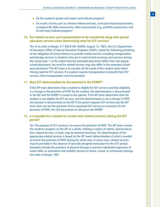- Do the student's grades and report card indicate progress?
- Do results of tests such as criterion-referenced tests, curriculum-based assessments, ecological life skills assessments; other assessments (e.g., portfolio assessment, end of unit tests) indicate progress?

#### **10. Are related services and transportation to be considered along with special education services when determining need for ESY services?**

Yes. In its *Letter to Baugh*, 211 IDELR 481 (OSERS, August 12, 1987), the U.S. Department of Education, Office of Special Education Programs (OSEP), stated the following pertaining to the obligation of school districts to provide related services including transportation and therapy services to students who are in need of and receiving such services during the school year: "...to the extent that the extended placement differs from the regular school placement, the need for related services may also differ in the extended school year placement." The IEP team is to consider all the needs of the student when determining need for ESY services. If a student requires transportation to benefit from ESY services, then transportation must be provided.

#### **11. Must ESY determination be documented in the NOREP?**

If the IEP team determines that a student is eligible for ESY services and that eligibility is a change in the provision of FAPE for the student, the determination is documented in the IEP and the NOREP is issued to the parents. If the IEP team determines that the student is not eligible for ESY services, and this determination is not a change in FAPE, the decision is documented on the IEP. If the parent requests ESY services but the IEP team does not see the provision of the requested ESY services as necessary for the provision of FAPE, the LEA documents its refusal on the NOREP.

#### **12. Is it possible for a student to receive only related service(s) during the ESY period?**

Yes. The purpose of ESY services is to ensure the provision of FAPE. The IEP team reviews the student's progress on the IEP as a whole, utilizing a variety of criteria. Special education, related services, or both, may be deemed necessary. The determination of the appropriate related services is based on the IEP team's determination of what is needed to ensure the provision of FAPE during the entire year. In some cases, related services may be provided in the absence of specially designed instruction for the ESY period. Examples include the provision of physical therapy to prevent substantial regression of motor skills, or orientation and mobility services in home, school, or community settings. See *Letter to Baugh*, 1987.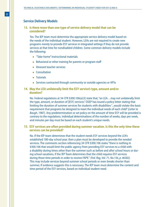#### **Service Delivery Models**

#### **13. Is there more than one type of service delivery model that can be considered?**

Yes. The IEP team must determine the appropriate service delivery model based on the needs of the individual student. However, LEAs are not required to create new programs merely to provide ESY services in integrated settings if they do not provide services at that time for nondisabled children. Some common delivery models include the following:

- "Take-home" instructional materials
- Behavioral or other training for parents or program staff
- Itinerant teacher services
- Consultation
- Tutorials
- Services contracted through community or outside agencies or APSs

#### **14. May the LEA unilaterally limit the ESY service's type, amount and/or duration?**

No. Federal regulations at 34 CFR §300.106(a)(3) state that, "an LEA…may not unilaterally limit the type, amount, or duration of [ESY] services." OSEP has issued a policy letter stating that limiting the duration of summer services for students with disabilities "...would violate the basic requirement that programs be designed to meet the individual needs of each child" (*Letter to Baugh*, 1987). Any predetermination or set policy on the amount of time ESY will be provided is contrary to the regulations. Individual determinations of the number of weeks, days per week, and minutes per day must be based on each student's unique needs.

#### **15. ESY services are often provided during summer vacation. Is this the only time these services can be provided?**

No. If the IEP team determines that the student needs ESY services beyond the LEA's established 180-day school year, then a plan must be developed to provide the needed services. The comments section referencing 34 CFR §300.106 states "there is nothing in §300.106 that would limit the public agency from providing ESY services to a child with a disability during times other than the summer such as before and after school hours or during school vacations, if the IEP Team determines that the child requires ESY services during those time periods in order to receive FAPE." *(Fed. Reg, Vol. 71, No.156, p. 46582).* This may include services beyond summer school periods or even breaks shorter than summer, if evidence suggests this is necessary. The IEP team must determine the content and time period of the ESY services, based on individual student need.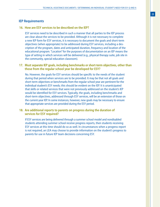#### **IEP Requirements**

#### **16. How are ESY services to be described on the IEP?**

ESY services need to be described in such a manner that all parties to the IEP process are clear about the services to be provided. Although it is not necessary to complete a new IEP form for ESY services, it is necessary to document the goals and short-term objectives (when appropriate) to be addressed during ESY services, including a description of the program, dates and anticipated duration, frequency and location of the educational program. "Location" for the purposes of documentation on an IEP means the type of setting in which services will be delivered (e.g., physical therapy suite, job site in the community, special education classroom).

#### **17. Must separate IEP goals, including benchmarks or short-term objectives, other than those from the regular school year be developed for ESY?**

No. However, the goals for ESY services should be specific to the needs of the student during that period when services are to be provided. It may be that not all goals and short-term objectives or benchmarks from the regular school year are pertinent for the individual student's ESY needs; this should be evident on the IEP. It is unanticipated that skills or related services that were not previously addressed on the student's IEP would be identified for ESY services. Typically, the goals, including benchmarks and short-term objectives, addressed through ESY services, will be an extension of those on the current-year IEP. In some instances, however, new goals may be necessary to ensure that appropriate services are provided during the ESY period.

#### **18. Are additional reports to parents on progress during the duration of services for ESY required?**

If ESY services are being delivered through a summer school model and nondisabled students attending summer school receive progress reports, then students receiving ESY services at this time should do so as well. In circumstances when a progress report is not required, an LEA may choose to provide information on the student's progress to parents for use in future IEP team decisions concerning ESY.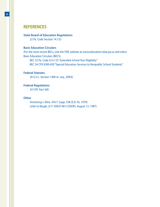## **REFERENCES**

#### **State Board of Education Regulations**

22 Pa. Code Section 14.132

#### **Basic Education Circulars**

(For the most recent BECs, visit the PDE website at www.education.state.pa.us and select Basic Education Circulars (BECS).

BEC 22 Pa. Code §14.132 "Extended School Year Eligibility" BEC 34 CFR §300.450 "Special Education Services to Nonpublic School Students"

#### **Federal Statutes**

20 U.S.C. Section 1400 et. seq., (IDEA)

#### **Federal Regulations**

34 CFR. Part 300

#### **Other**

*Armstrong v. Kline*, 476 F. Supp. 538 (E.D. Pa. 1979) *Letter to Baugh*, [211 IDELR 481] (OSERS, August 12, 1987)